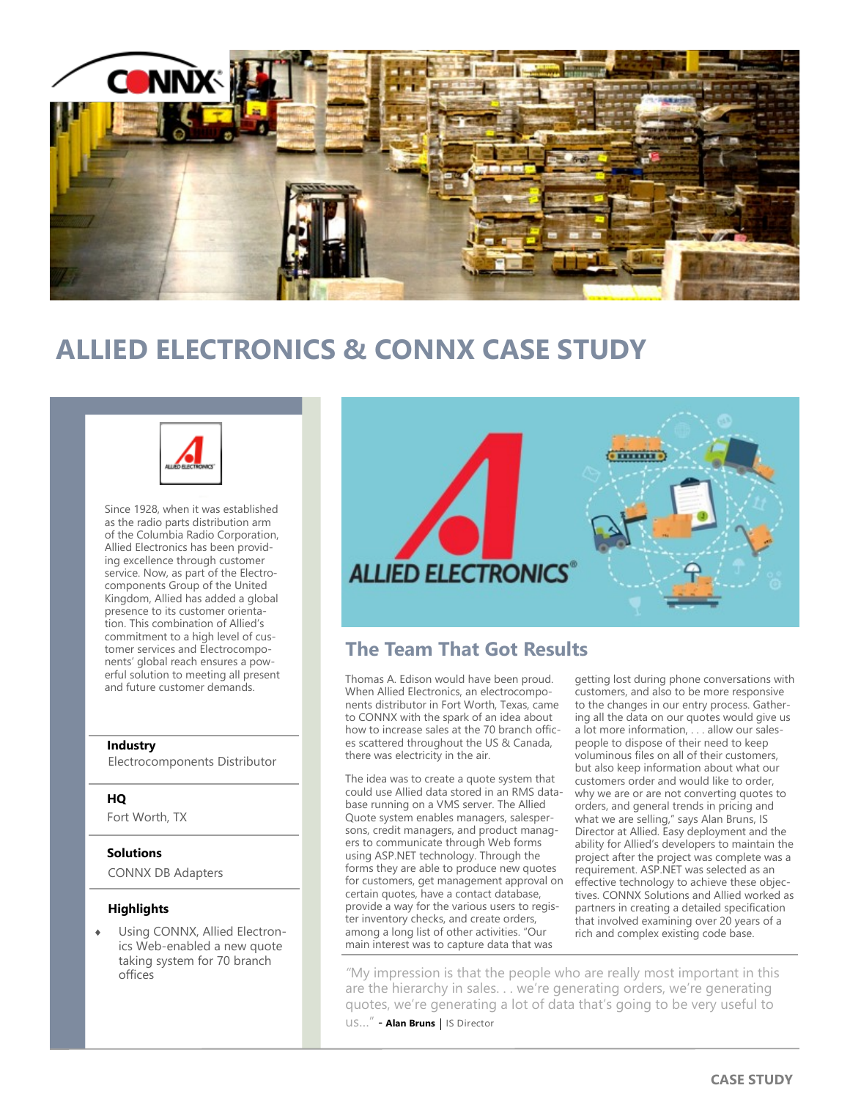

# **ALLIED ELECTRONICS & CONNX CASE STUDY**



Since 1928, when it was established as the radio parts distribution arm of the Columbia Radio Corporation, Allied Electronics has been providing excellence through customer service. Now, as part of the Electrocomponents Group of the United Kingdom, Allied has added a global presence to its customer orientation. This combination of Allied's commitment to a high level of customer services and Electrocomponents' global reach ensures a powerful solution to meeting all present and future customer demands.

#### **Industry**

Electrocomponents Distributor

### **HQ**

Fort Worth, TX

### **Solutions**

CONNX DB Adapters

#### **Highlights**

 Using CONNX, Allied Electronics Web-enabled a new quote taking system for 70 branch offices



## **The Team That Got Results**

Thomas A. Edison would have been proud. When Allied Electronics, an electrocomponents distributor in Fort Worth, Texas, came to CONNX with the spark of an idea about how to increase sales at the 70 branch offices scattered throughout the US & Canada, there was electricity in the air.

The idea was to create a quote system that could use Allied data stored in an RMS database running on a VMS server. The Allied Quote system enables managers, salespersons, credit managers, and product managers to communicate through Web forms using ASP.NET technology. Through the forms they are able to produce new quotes for customers, get management approval on certain quotes, have a contact database, provide a way for the various users to register inventory checks, and create orders, among a long list of other activities. "Our main interest was to capture data that was

getting lost during phone conversations with customers, and also to be more responsive to the changes in our entry process. Gathering all the data on our quotes would give us a lot more information, . . . allow our salespeople to dispose of their need to keep voluminous files on all of their customers, but also keep information about what our customers order and would like to order, why we are or are not converting quotes to orders, and general trends in pricing and what we are selling," says Alan Bruns, IS Director at Allied. Easy deployment and the ability for Allied's developers to maintain the project after the project was complete was a requirement. ASP.NET was selected as an effective technology to achieve these objectives. CONNX Solutions and Allied worked as partners in creating a detailed specification that involved examining over 20 years of a rich and complex existing code base.

*"*My impression is that the people who are really most important in this are the hierarchy in sales. . . we're generating orders, we're generating quotes, we're generating a lot of data that's going to be very useful to **US...**" - Alan Bruns | IS Director